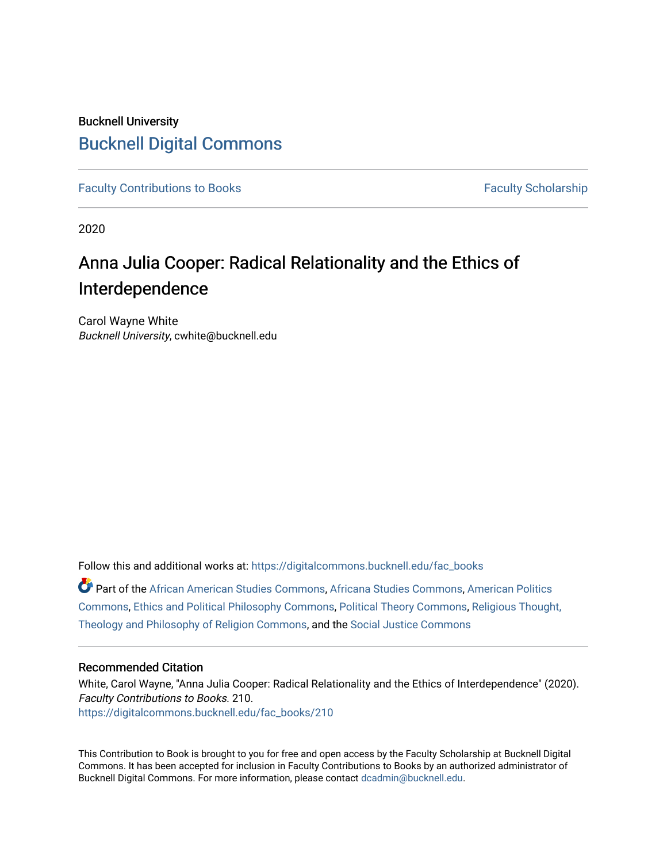## Bucknell University [Bucknell Digital Commons](https://digitalcommons.bucknell.edu/)

[Faculty Contributions to Books](https://digitalcommons.bucknell.edu/fac_books) **Faculty Scholarship** Faculty Scholarship

2020

# Anna Julia Cooper: Radical Relationality and the Ethics of Interdependence

Carol Wayne White Bucknell University, cwhite@bucknell.edu

Follow this and additional works at: [https://digitalcommons.bucknell.edu/fac\\_books](https://digitalcommons.bucknell.edu/fac_books?utm_source=digitalcommons.bucknell.edu%2Ffac_books%2F210&utm_medium=PDF&utm_campaign=PDFCoverPages) 

Part of the [African American Studies Commons,](http://network.bepress.com/hgg/discipline/567?utm_source=digitalcommons.bucknell.edu%2Ffac_books%2F210&utm_medium=PDF&utm_campaign=PDFCoverPages) [Africana Studies Commons,](http://network.bepress.com/hgg/discipline/1418?utm_source=digitalcommons.bucknell.edu%2Ffac_books%2F210&utm_medium=PDF&utm_campaign=PDFCoverPages) [American Politics](http://network.bepress.com/hgg/discipline/387?utm_source=digitalcommons.bucknell.edu%2Ffac_books%2F210&utm_medium=PDF&utm_campaign=PDFCoverPages) [Commons](http://network.bepress.com/hgg/discipline/387?utm_source=digitalcommons.bucknell.edu%2Ffac_books%2F210&utm_medium=PDF&utm_campaign=PDFCoverPages), [Ethics and Political Philosophy Commons](http://network.bepress.com/hgg/discipline/529?utm_source=digitalcommons.bucknell.edu%2Ffac_books%2F210&utm_medium=PDF&utm_campaign=PDFCoverPages), [Political Theory Commons,](http://network.bepress.com/hgg/discipline/391?utm_source=digitalcommons.bucknell.edu%2Ffac_books%2F210&utm_medium=PDF&utm_campaign=PDFCoverPages) [Religious Thought,](http://network.bepress.com/hgg/discipline/544?utm_source=digitalcommons.bucknell.edu%2Ffac_books%2F210&utm_medium=PDF&utm_campaign=PDFCoverPages)  [Theology and Philosophy of Religion Commons,](http://network.bepress.com/hgg/discipline/544?utm_source=digitalcommons.bucknell.edu%2Ffac_books%2F210&utm_medium=PDF&utm_campaign=PDFCoverPages) and the [Social Justice Commons](http://network.bepress.com/hgg/discipline/1432?utm_source=digitalcommons.bucknell.edu%2Ffac_books%2F210&utm_medium=PDF&utm_campaign=PDFCoverPages) 

### Recommended Citation

White, Carol Wayne, "Anna Julia Cooper: Radical Relationality and the Ethics of Interdependence" (2020). Faculty Contributions to Books. 210. [https://digitalcommons.bucknell.edu/fac\\_books/210](https://digitalcommons.bucknell.edu/fac_books/210?utm_source=digitalcommons.bucknell.edu%2Ffac_books%2F210&utm_medium=PDF&utm_campaign=PDFCoverPages)

This Contribution to Book is brought to you for free and open access by the Faculty Scholarship at Bucknell Digital Commons. It has been accepted for inclusion in Faculty Contributions to Books by an authorized administrator of Bucknell Digital Commons. For more information, please contact [dcadmin@bucknell.edu](mailto:dcadmin@bucknell.edu).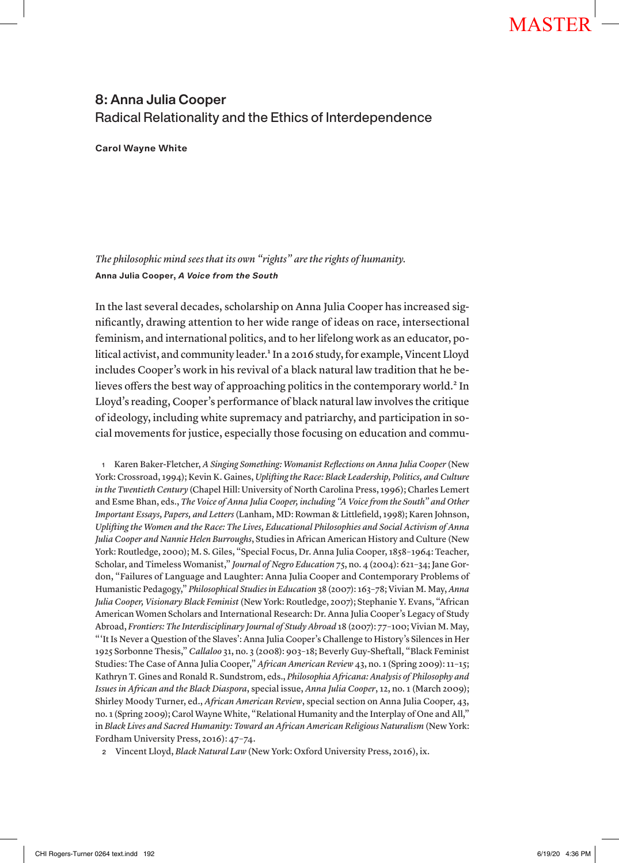### 8: Anna Julia Cooper Radical Relationality and the Ethics of Interdependence

**Carol Wayne White**

*The philosophic mind sees that its own "rights" are the rights of humanity.* **Anna Julia Cooper,** *A Voice from the South*

In the last several decades, scholarship on Anna Julia Cooper has increased significantly, drawing attention to her wide range of ideas on race, intersectional feminism, and international politics, and to her lifelong work as an educator, political activist, and community leader.<sup>1</sup> In a 2016 study, for example, Vincent Lloyd includes Cooper's work in his revival of a black natural law tradition that he believes offers the best way of approaching politics in the contemporary world.<sup>2</sup> In Lloyd's reading, Cooper's performance of black natural law involves the critique of ideology, including white supremacy and patriarchy, and participation in social movements for justice, especially those focusing on education and commu-

<sup>1</sup> Karen Baker-Fletcher, *A Singing Something: Womanist Reflections on Anna Julia Cooper* (New York: Crossroad, 1994); Kevin K. Gaines, *Uplifting the Race: Black Leadership, Politics, and Culture in the Twentieth Century* (Chapel Hill: University of North Carolina Press, 1996); Charles Lemert and Esme Bhan, eds., *The Voice of Anna Julia Cooper, including "A Voice from the South" and Other Important Essays, Papers, and Letters* (Lanham, MD: Rowman & Littlefield, 1998); Karen Johnson, *Uplifting the Women and the Race: The Lives, Educational Philosophies and Social Activism of Anna Julia Cooper and Nannie Helen Burroughs*, Studies in African American History and Culture (New York: Routledge, 2000); M. S. Giles, "Special Focus, Dr. Anna Julia Cooper, 1858–1964: Teacher, Scholar, and Timeless Womanist," *Journal of Negro Education* 75, no. 4 (2004): 621–34; Jane Gordon, "Failures of Language and Laughter: Anna Julia Cooper and Contemporary Problems of Humanistic Pedagogy," *Philosophical Studies in Education* 38 (2007): 163–78; Vivian M. May, *Anna Julia Cooper, Visionary Black Feminist* (New York: Routledge, 2007); Stephanie Y. Evans, "African American Women Scholars and International Research: Dr. Anna Julia Cooper's Legacy of Study Abroad, *Frontiers: The Interdisciplinary Journal of Study Abroad* 18 (2007): 77–100; Vivian M. May, "'It Is Never a Question of the Slaves': Anna Julia Cooper's Challenge to History's Silences in Her 1925 Sorbonne Thesis," *Callaloo* 31, no. 3 (2008): 903–18; Beverly Guy-Sheftall, "Black Feminist Studies: The Case of Anna Julia Cooper," *African American Review* 43, no. 1 (Spring 2009): 11–15; Kathryn T. Gines and Ronald R. Sundstrom, eds., *Philosophia Africana: Analysis of Philosophy and Issues in African and the Black Diaspora*, special issue, *Anna Julia Cooper*, 12, no. 1 (March 2009); Shirley Moody Turner, ed., *African American Review*, special section on Anna Julia Cooper, 43, no. 1 (Spring 2009); Carol Wayne White, "Relational Humanity and the Interplay of One and All," in *Black Lives and Sacred Humanity: Toward an African American Religious Naturalism* (New York: Fordham University Press, 2016): 47–74.

<sup>2</sup> Vincent Lloyd, *Black Natural Law* (New York: Oxford University Press, 2016), ix.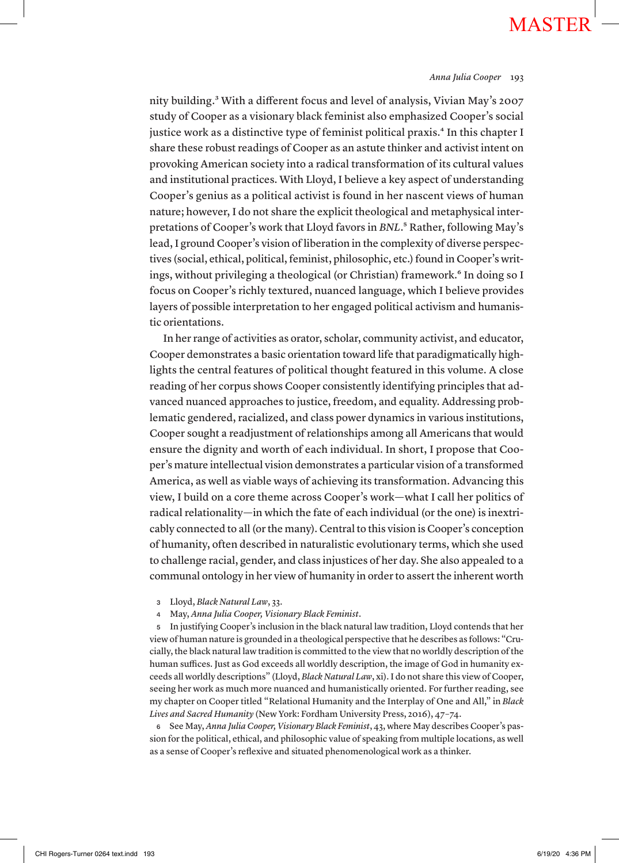### *Anna Julia Cooper* 193

nity building.3 With a different focus and level of analysis, Vivian May's 2007 study of Cooper as a visionary black feminist also emphasized Cooper's social justice work as a distinctive type of feminist political praxis.<sup>4</sup> In this chapter I share these robust readings of Cooper as an astute thinker and activist intent on provoking American society into a radical transformation of its cultural values and institutional practices. With Lloyd, I believe a key aspect of understanding Cooper's genius as a political activist is found in her nascent views of human nature; however, I do not share the explicit theological and metaphysical interpretations of Cooper's work that Lloyd favors in *BNL*.5 Rather, following May's lead, I ground Cooper's vision of liberation in the complexity of diverse perspectives (social, ethical, political, feminist, philosophic, etc.) found in Cooper's writings, without privileging a theological (or Christian) framework.<sup>6</sup> In doing so I focus on Cooper's richly textured, nuanced language, which I believe provides layers of possible interpretation to her engaged political activism and humanistic orientations.

In her range of activities as orator, scholar, community activist, and educator, Cooper demonstrates a basic orientation toward life that paradigmatically highlights the central features of political thought featured in this volume. A close reading of her corpus shows Cooper consistently identifying principles that advanced nuanced approaches to justice, freedom, and equality. Addressing problematic gendered, racialized, and class power dynamics in various institutions, Cooper sought a readjustment of relationships among all Americans that would ensure the dignity and worth of each individual. In short, I propose that Cooper's mature intellectual vision demonstrates a particular vision of a transformed America, as well as viable ways of achieving its transformation. Advancing this view, I build on a core theme across Cooper's work—what I call her politics of radical relationality—in which the fate of each individual (or the one) is inextricably connected to all (or the many). Central to this vision is Cooper's conception of humanity, often described in naturalistic evolutionary terms, which she used to challenge racial, gender, and class injustices of her day. She also appealed to a communal ontology in her view of humanity in order to assert the inherent worth

- <sup>3</sup> Lloyd, *Black Natural Law*, 33.
- <sup>4</sup> May, *Anna Julia Cooper, Visionary Black Feminist*.

<sup>5</sup> In justifying Cooper's inclusion in the black natural law tradition, Lloyd contends that her view of human nature is grounded in a theological perspective that he describes as follows: "Crucially, the black natural law tradition is committed to the view that no worldly description of the human suffices. Just as God exceeds all worldly description, the image of God in humanity exceeds all worldly descriptions" (Lloyd, *Black Natural Law*, xi). I do not share this view of Cooper, seeing her work as much more nuanced and humanistically oriented. For further reading, see my chapter on Cooper titled "Relational Humanity and the Interplay of One and All," in *Black Lives and Sacred Humanity* (New York: Fordham University Press, 2016), 47–74.

<sup>6</sup> See May, *Anna Julia Cooper, Visionary Black Feminist*, 43, where May describes Cooper's passion for the political, ethical, and philosophic value of speaking from multiple locations, as well as a sense of Cooper's reflexive and situated phenomenological work as a thinker.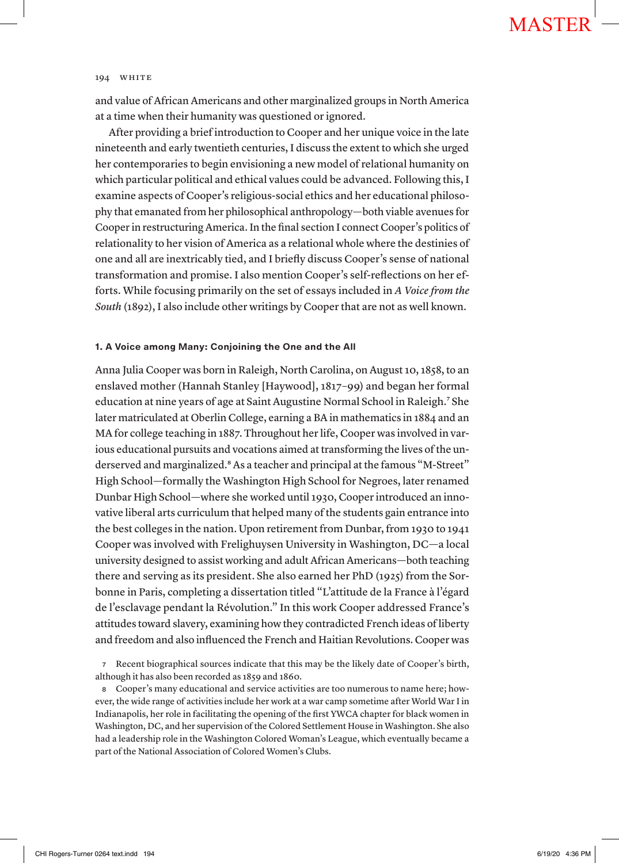and value of African Americans and other marginalized groups in North America at a time when their humanity was questioned or ignored.

After providing a brief introduction to Cooper and her unique voice in the late nineteenth and early twentieth centuries, I discuss the extent to which she urged her contemporaries to begin envisioning a new model of relational humanity on which particular political and ethical values could be advanced. Following this, I examine aspects of Cooper's religious-social ethics and her educational philosophy that emanated from her philosophical anthropology—both viable avenues for Cooper in restructuring America. In the final section I connect Cooper's politics of relationality to her vision of America as a relational whole where the destinies of one and all are inextricably tied, and I briefly discuss Cooper's sense of national transformation and promise. I also mention Cooper's self-reflections on her efforts. While focusing primarily on the set of essays included in *A Voice from the South* (1892), I also include other writings by Cooper that are not as well known.

### **1. A Voice among Many: Conjoining the One and the All**

Anna Julia Cooper was born in Raleigh, North Carolina, on August 10, 1858, to an enslaved mother (Hannah Stanley [Haywood], 1817–99) and began her formal education at nine years of age at Saint Augustine Normal School in Raleigh.<sup>7</sup> She later matriculated at Oberlin College, earning a BA in mathematics in 1884 and an MA for college teaching in 1887. Throughout her life, Cooper was involved in various educational pursuits and vocations aimed at transforming the lives of the underserved and marginalized.<sup>8</sup> As a teacher and principal at the famous "M-Street" High School—formally the Washington High School for Negroes, later renamed Dunbar High School—where she worked until 1930, Cooper introduced an innovative liberal arts curriculum that helped many of the students gain entrance into the best colleges in the nation. Upon retirement from Dunbar, from 1930 to 1941 Cooper was involved with Frelighuysen University in Washington, DC—a local university designed to assist working and adult African Americans—both teaching there and serving as its president. She also earned her PhD (1925) from the Sorbonne in Paris, completing a dissertation titled "L'attitude de la France à l'égard de l'esclavage pendant la Révolution." In this work Cooper addressed France's attitudes toward slavery, examining how they contradicted French ideas of liberty and freedom and also influenced the French and Haitian Revolutions. Cooper was

<sup>7</sup> Recent biographical sources indicate that this may be the likely date of Cooper's birth, although it has also been recorded as 1859 and 1860.

<sup>8</sup> Cooper's many educational and service activities are too numerous to name here; however, the wide range of activities include her work at a war camp sometime after World War I in Indianapolis, her role in facilitating the opening of the first YWCA chapter for black women in Washington, DC, and her supervision of the Colored Settlement House in Washington. She also had a leadership role in the Washington Colored Woman's League, which eventually became a part of the National Association of Colored Women's Clubs.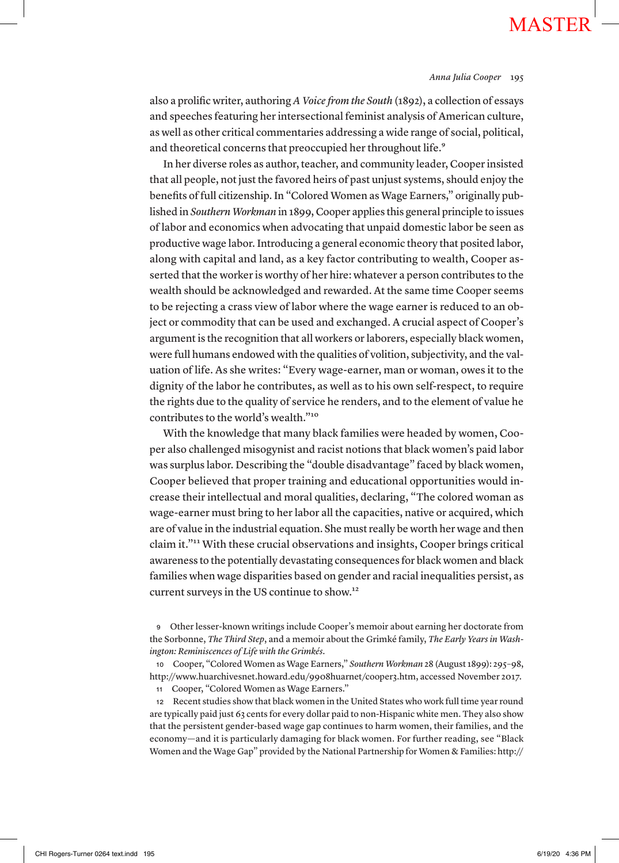#### *Anna Julia Cooper* 195

also a prolific writer, authoring *A Voice from the South* (1892), a collection of essays and speeches featuring her intersectional feminist analysis of American culture, as well as other critical commentaries addressing a wide range of social, political, and theoretical concerns that preoccupied her throughout life.<sup>9</sup>

In her diverse roles as author, teacher, and community leader, Cooper insisted that all people, not just the favored heirs of past unjust systems, should enjoy the benefits of full citizenship. In "Colored Women as Wage Earners," originally published in *Southern Workman* in 1899, Cooper applies this general principle to issues of labor and economics when advocating that unpaid domestic labor be seen as productive wage labor. Introducing a general economic theory that posited labor, along with capital and land, as a key factor contributing to wealth, Cooper asserted that the worker is worthy of her hire: whatever a person contributes to the wealth should be acknowledged and rewarded. At the same time Cooper seems to be rejecting a crass view of labor where the wage earner is reduced to an object or commodity that can be used and exchanged. A crucial aspect of Cooper's argument is the recognition that all workers or laborers, especially black women, were full humans endowed with the qualities of volition, subjectivity, and the valuation of life. As she writes: "Every wage-earner, man or woman, owes it to the dignity of the labor he contributes, as well as to his own self-respect, to require the rights due to the quality of service he renders, and to the element of value he contributes to the world's wealth."10

With the knowledge that many black families were headed by women, Cooper also challenged misogynist and racist notions that black women's paid labor was surplus labor. Describing the "double disadvantage" faced by black women, Cooper believed that proper training and educational opportunities would increase their intellectual and moral qualities, declaring, "The colored woman as wage-earner must bring to her labor all the capacities, native or acquired, which are of value in the industrial equation. She must really be worth her wage and then claim it."11 With these crucial observations and insights, Cooper brings critical awareness to the potentially devastating consequences for black women and black families when wage disparities based on gender and racial inequalities persist, as current surveys in the US continue to show.12

<sup>9</sup> Other lesser-known writings include Cooper's memoir about earning her doctorate from the Sorbonne, *The Third Step*, and a memoir about the Grimké family, *The Early Years in Washington: Reminiscences of Life with the Grimkés*.

<sup>10</sup> Cooper, "Colored Women as Wage Earners," *Southern Workman* 28 (August 1899): 295–98, http://www.huarchivesnet.howard.edu/9908huarnet/cooper3.htm, accessed November 2017.

<sup>11</sup> Cooper, "Colored Women as Wage Earners."

<sup>12</sup> Recent studies show that black women in the United States who work full time year round are typically paid just 63 cents for every dollar paid to non-Hispanic white men. They also show that the persistent gender-based wage gap continues to harm women, their families, and the economy—and it is particularly damaging for black women. For further reading, see "Black Women and the Wage Gap" provided by the National Partnership for Women & Families: http://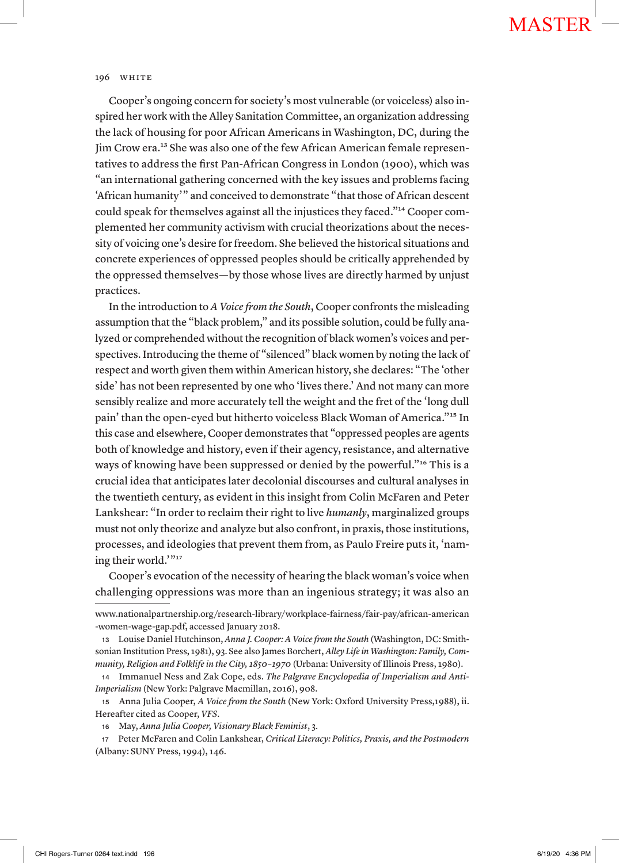Cooper's ongoing concern for society's most vulnerable (or voiceless) also inspired her work with the Alley Sanitation Committee, an organization addressing the lack of housing for poor African Americans in Washington, DC, during the Jim Crow era.<sup>13</sup> She was also one of the few African American female representatives to address the first Pan-African Congress in London (1900), which was "an international gathering concerned with the key issues and problems facing 'African humanity'" and conceived to demonstrate "that those of African descent could speak for themselves against all the injustices they faced."14 Cooper complemented her community activism with crucial theorizations about the necessity of voicing one's desire for freedom. She believed the historical situations and concrete experiences of oppressed peoples should be critically apprehended by the oppressed themselves—by those whose lives are directly harmed by unjust practices.

In the introduction to *A Voice from the South*, Cooper confronts the misleading assumption that the "black problem," and its possible solution, could be fully analyzed or comprehended without the recognition of black women's voices and perspectives. Introducing the theme of "silenced" black women by noting the lack of respect and worth given them within American history, she declares: "The 'other side' has not been represented by one who 'lives there.' And not many can more sensibly realize and more accurately tell the weight and the fret of the 'long dull pain' than the open-eyed but hitherto voiceless Black Woman of America."15 In this case and elsewhere, Cooper demonstrates that "oppressed peoples are agents both of knowledge and history, even if their agency, resistance, and alternative ways of knowing have been suppressed or denied by the powerful."16 This is a crucial idea that anticipates later decolonial discourses and cultural analyses in the twentieth century, as evident in this insight from Colin McFaren and Peter Lankshear: "In order to reclaim their right to live *humanly*, marginalized groups must not only theorize and analyze but also confront, in praxis, those institutions, processes, and ideologies that prevent them from, as Paulo Freire puts it, 'naming their world.'"17

Cooper's evocation of the necessity of hearing the black woman's voice when challenging oppressions was more than an ingenious strategy; it was also an

www.nationalpartnership.org/research-library/workplace-fairness/fair-pay/african-american -women-wage-gap.pdf, accessed January 2018.

<sup>13</sup> Louise Daniel Hutchinson, *Anna J. Cooper: A Voice from the South* (Washington, DC: Smithsonian Institution Press, 1981), 93. See also James Borchert, *Alley Life in Washington: Family, Community, Religion and Folklife in the City, 1850–1970* (Urbana: University of Illinois Press, 1980).

<sup>14</sup> Immanuel Ness and Zak Cope, eds. *The Palgrave Encyclopedia of Imperialism and Anti-Imperialism* (New York: Palgrave Macmillan, 2016), 908.

<sup>15</sup> Anna Julia Cooper, *A Voice from the South* (New York: Oxford University Press,1988), ii. Hereafter cited as Cooper, *VFS*.

<sup>16</sup> May, *Anna Julia Cooper, Visionary Black Feminist*, 3.

<sup>17</sup> Peter McFaren and Colin Lankshear, *Critical Literacy: Politics, Praxis, and the Postmodern* (Albany: SUNY Press, 1994), 146.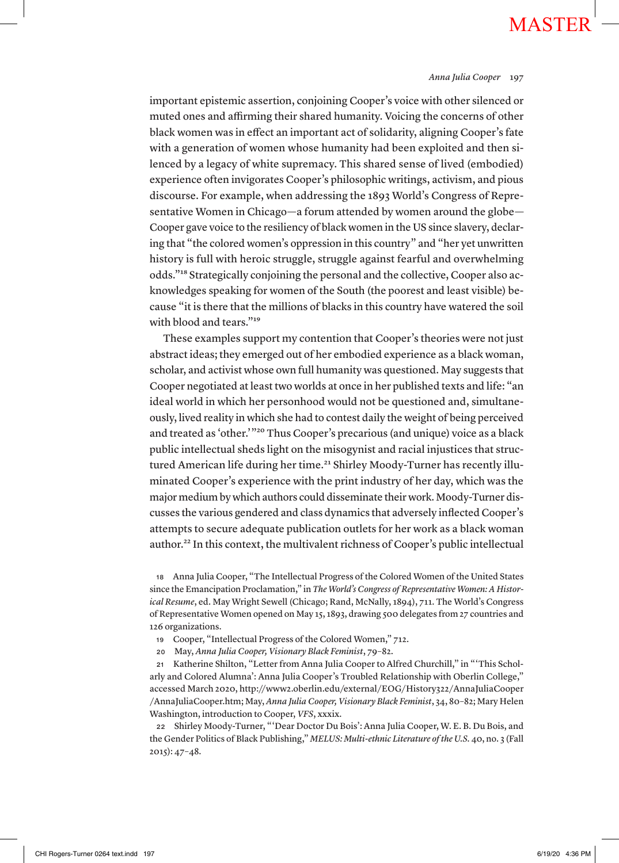#### *Anna Julia Cooper* 197

important epistemic assertion, conjoining Cooper's voice with other silenced or muted ones and affirming their shared humanity. Voicing the concerns of other black women was in effect an important act of solidarity, aligning Cooper's fate with a generation of women whose humanity had been exploited and then silenced by a legacy of white supremacy. This shared sense of lived (embodied) experience often invigorates Cooper's philosophic writings, activism, and pious discourse. For example, when addressing the 1893 World's Congress of Representative Women in Chicago—a forum attended by women around the globe— Cooper gave voice to the resiliency of black women in the US since slavery, declaring that "the colored women's oppression in this country" and "her yet unwritten history is full with heroic struggle, struggle against fearful and overwhelming odds."18 Strategically conjoining the personal and the collective, Cooper also acknowledges speaking for women of the South (the poorest and least visible) because "it is there that the millions of blacks in this country have watered the soil with blood and tears."<sup>19</sup>

These examples support my contention that Cooper's theories were not just abstract ideas; they emerged out of her embodied experience as a black woman, scholar, and activist whose own full humanity was questioned. May suggests that Cooper negotiated at least two worlds at once in her published texts and life: "an ideal world in which her personhood would not be questioned and, simultaneously, lived reality in which she had to contest daily the weight of being perceived and treated as 'other.'"20 Thus Cooper's precarious (and unique) voice as a black public intellectual sheds light on the misogynist and racial injustices that structured American life during her time.<sup>21</sup> Shirley Moody-Turner has recently illuminated Cooper's experience with the print industry of her day, which was the major medium by which authors could disseminate their work. Moody-Turner discusses the various gendered and class dynamics that adversely inflected Cooper's attempts to secure adequate publication outlets for her work as a black woman author.<sup>22</sup> In this context, the multivalent richness of Cooper's public intellectual

<sup>18</sup> Anna Julia Cooper, "The Intellectual Progress of the Colored Women of the United States since the Emancipation Proclamation," in *The World's Congress of Representative Women: A Historical Resume*, ed. May Wright Sewell (Chicago; Rand, McNally, 1894), 711. The World's Congress of Representative Women opened on May 15, 1893, drawing 500 delegates from 27 countries and 126 organizations.

- <sup>19</sup> Cooper, "Intellectual Progress of the Colored Women," 712.
- <sup>20</sup> May, *Anna Julia Cooper, Visionary Black Feminist*, 79–82.

<sup>21</sup> Katherine Shilton, "Letter from Anna Julia Cooper to Alfred Churchill," in "'This Scholarly and Colored Alumna': Anna Julia Cooper's Troubled Relationship with Oberlin College," accessed March 2020, http://www2.oberlin.edu/external/EOG/History322/AnnaJuliaCooper /AnnaJuliaCooper.htm; May, *Anna Julia Cooper, Visionary Black Feminist*, 34, 80–82; Mary Helen Washington, introduction to Cooper, *VFS*, xxxix.

<sup>22</sup> Shirley Moody-Turner, "'Dear Doctor Du Bois': Anna Julia Cooper, W. E. B. Du Bois, and the Gender Politics of Black Publishing," *MELUS: Multi-ethnic Literature of the U.S.* 40, no. 3 (Fall 2015): 47–48.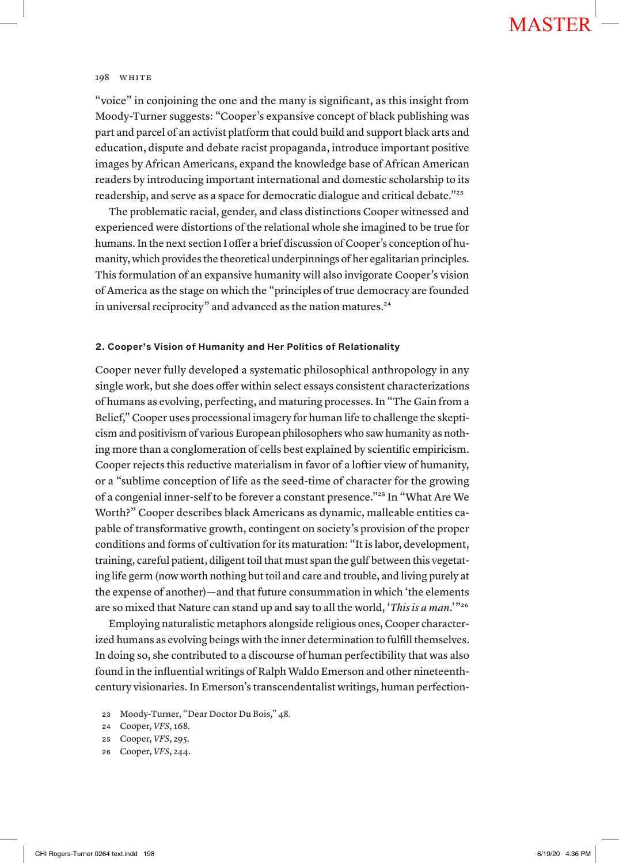"voice" in conjoining the one and the many is significant, as this insight from Moody-Turner suggests: "Cooper's expansive concept of black publishing was part and parcel of an activist platform that could build and support black arts and education, dispute and debate racist propaganda, introduce important positive images by African Americans, expand the knowledge base of African American readers by introducing important international and domestic scholarship to its readership, and serve as a space for democratic dialogue and critical debate."<sup>23</sup>

The problematic racial, gender, and class distinctions Cooper witnessed and experienced were distortions of the relational whole she imagined to be true for humans. In the next section I offer a brief discussion of Cooper's conception of humanity, which provides the theoretical underpinnings of her egalitarian principles. This formulation of an expansive humanity will also invigorate Cooper's vision of America as the stage on which the "principles of true democracy are founded in universal reciprocity" and advanced as the nation matures.<sup>24</sup>

### **2. Cooper's Vision of Humanity and Her Politics of Relationality**

Cooper never fully developed a systematic philosophical anthropology in any single work, but she does offer within select essays consistent characterizations of humans as evolving, perfecting, and maturing processes. In "The Gain from a Belief," Cooper uses processional imagery for human life to challenge the skepticism and positivism of various European philosophers who saw humanity as nothing more than a conglomeration of cells best explained by scientific empiricism. Cooper rejects this reductive materialism in favor of a loftier view of humanity, or a "sublime conception of life as the seed-time of character for the growing of a congenial inner-self to be forever a constant presence."25 In "What Are We Worth?" Cooper describes black Americans as dynamic, malleable entities capable of transformative growth, contingent on society's provision of the proper conditions and forms of cultivation for its maturation: "It is labor, development, training, careful patient, diligent toil that must span the gulf between this vegetating life germ (now worth nothing but toil and care and trouble, and living purely at the expense of another)—and that future consummation in which 'the elements are so mixed that Nature can stand up and say to all the world, '*This is a man*.'"26

Employing naturalistic metaphors alongside religious ones, Cooper characterized humans as evolving beings with the inner determination to fulfill themselves. In doing so, she contributed to a discourse of human perfectibility that was also found in the influential writings of Ralph Waldo Emerson and other nineteenthcentury visionaries. In Emerson's transcendentalist writings, human perfection-

<sup>26</sup> Cooper, *VFS*, 244.

<sup>23</sup> Moody-Turner, "Dear Doctor Du Bois," 48.

<sup>24</sup> Cooper, *VFS*, 168.

<sup>25</sup> Cooper, *VFS*, 295.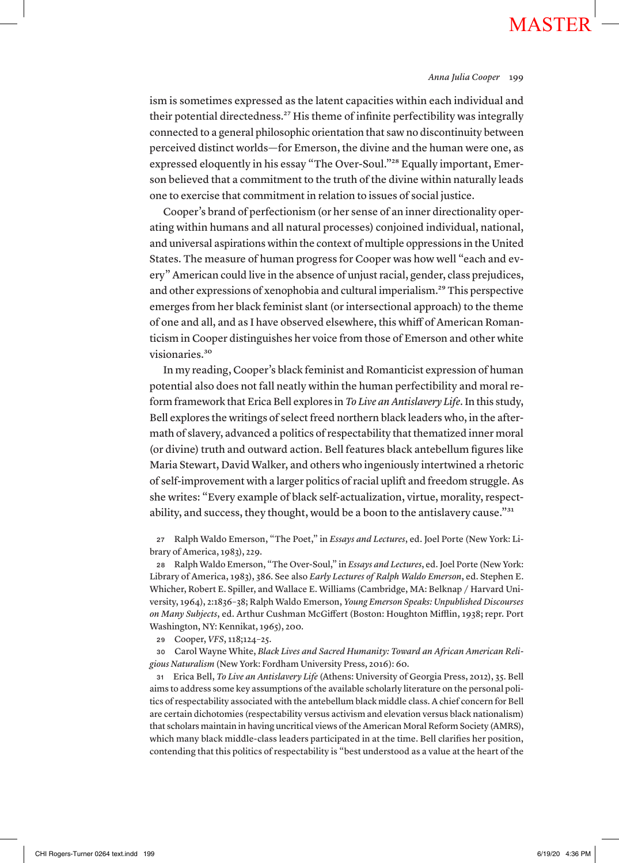ism is sometimes expressed as the latent capacities within each individual and their potential directedness.<sup>27</sup> His theme of infinite perfectibility was integrally connected to a general philosophic orientation that saw no discontinuity between perceived distinct worlds—for Emerson, the divine and the human were one, as expressed eloquently in his essay "The Over-Soul."28 Equally important, Emerson believed that a commitment to the truth of the divine within naturally leads one to exercise that commitment in relation to issues of social justice.

Cooper's brand of perfectionism (or her sense of an inner directionality operating within humans and all natural processes) conjoined individual, national, and universal aspirations within the context of multiple oppressions in the United States. The measure of human progress for Cooper was how well "each and every" American could live in the absence of unjust racial, gender, class prejudices, and other expressions of xenophobia and cultural imperialism.29 This perspective emerges from her black feminist slant (or intersectional approach) to the theme of one and all, and as I have observed elsewhere, this whiff of American Romanticism in Cooper distinguishes her voice from those of Emerson and other white visionaries.<sup>30</sup>

In my reading, Cooper's black feminist and Romanticist expression of human potential also does not fall neatly within the human perfectibility and moral reform framework that Erica Bell explores in *To Live an Antislavery Life*. In this study, Bell explores the writings of select freed northern black leaders who, in the aftermath of slavery, advanced a politics of respectability that thematized inner moral (or divine) truth and outward action. Bell features black antebellum figures like Maria Stewart, David Walker, and others who ingeniously intertwined a rhetoric of self-improvement with a larger politics of racial uplift and freedom struggle. As she writes: "Every example of black self-actualization, virtue, morality, respectability, and success, they thought, would be a boon to the antislavery cause."31

<sup>27</sup> Ralph Waldo Emerson, "The Poet," in *Essays and Lectures*, ed. Joel Porte (New York: Library of America, 1983), 229.

<sup>28</sup> Ralph Waldo Emerson, "The Over-Soul," in *Essays and Lectures*, ed. Joel Porte (New York: Library of America, 1983), 386. See also *Early Lectures of Ralph Waldo Emerson*, ed. Stephen E. Whicher, Robert E. Spiller, and Wallace E. Williams (Cambridge, MA: Belknap / Harvard University, 1964), 2:1836–38; Ralph Waldo Emerson, *Young Emerson Speaks: Unpublished Discourses on Many Subjects*, ed. Arthur Cushman McGiffert (Boston: Houghton Mifflin, 1938; repr. Port Washington, NY: Kennikat, 1965), 200.

<sup>29</sup> Cooper, *VFS*, 118;124–25.

<sup>30</sup> Carol Wayne White, *Black Lives and Sacred Humanity: Toward an African American Religious Naturalism* (New York: Fordham University Press, 2016): 60.

<sup>31</sup> Erica Bell, *To Live an Antislavery Life* (Athens: University of Georgia Press, 2012), 35. Bell aims to address some key assumptions of the available scholarly literature on the personal politics of respectability associated with the antebellum black middle class. A chief concern for Bell are certain dichotomies (respectability versus activism and elevation versus black nationalism) that scholars maintain in having uncritical views of the American Moral Reform Society (AMRS), which many black middle-class leaders participated in at the time. Bell clarifies her position, contending that this politics of respectability is "best understood as a value at the heart of the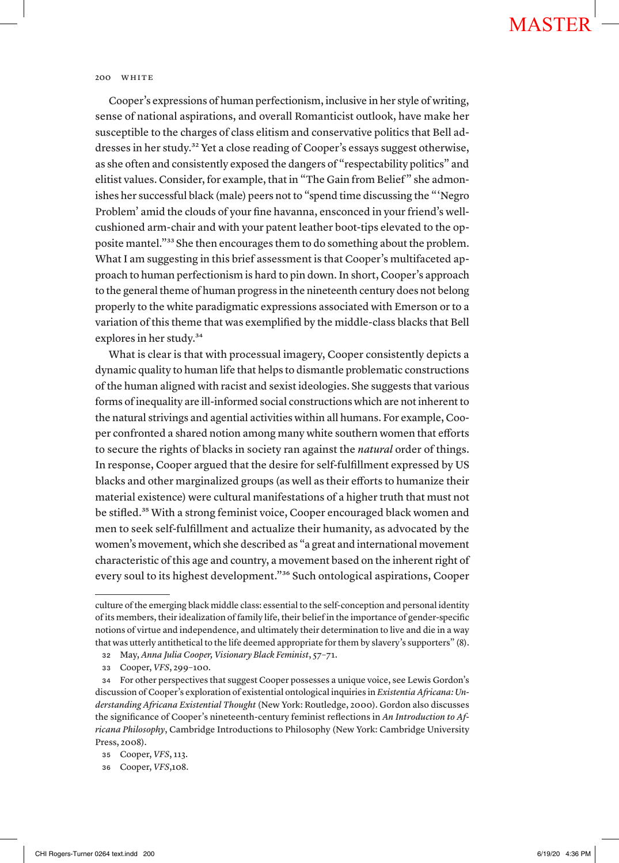Cooper's expressions of human perfectionism, inclusive in her style of writing, sense of national aspirations, and overall Romanticist outlook, have make her susceptible to the charges of class elitism and conservative politics that Bell addresses in her study.<sup>32</sup> Yet a close reading of Cooper's essays suggest otherwise, as she often and consistently exposed the dangers of "respectability politics" and elitist values. Consider, for example, that in "The Gain from Belief " she admonishes her successful black (male) peers not to "spend time discussing the "'Negro Problem' amid the clouds of your fine havanna, ensconced in your friend's wellcushioned arm-chair and with your patent leather boot-tips elevated to the opposite mantel."33 She then encourages them to do something about the problem. What I am suggesting in this brief assessment is that Cooper's multifaceted approach to human perfectionism is hard to pin down. In short, Cooper's approach to the general theme of human progress in the nineteenth century does not belong properly to the white paradigmatic expressions associated with Emerson or to a variation of this theme that was exemplified by the middle-class blacks that Bell explores in her study.34

What is clear is that with processual imagery, Cooper consistently depicts a dynamic quality to human life that helps to dismantle problematic constructions of the human aligned with racist and sexist ideologies. She suggests that various forms of inequality are ill-informed social constructions which are not inherent to the natural strivings and agential activities within all humans. For example, Cooper confronted a shared notion among many white southern women that efforts to secure the rights of blacks in society ran against the *natural* order of things. In response, Cooper argued that the desire for self-fulfillment expressed by US blacks and other marginalized groups (as well as their efforts to humanize their material existence) were cultural manifestations of a higher truth that must not be stifled.<sup>35</sup> With a strong feminist voice, Cooper encouraged black women and men to seek self-fulfillment and actualize their humanity, as advocated by the women's movement, which she described as "a great and international movement characteristic of this age and country, a movement based on the inherent right of every soul to its highest development."36 Such ontological aspirations, Cooper

culture of the emerging black middle class: essential to the self-conception and personal identity of its members, their idealization of family life, their belief in the importance of gender-specific notions of virtue and independence, and ultimately their determination to live and die in a way that was utterly antithetical to the life deemed appropriate for them by slavery's supporters" (8).

<sup>32</sup> May, *Anna Julia Cooper, Visionary Black Feminist*, 57–71.

<sup>33</sup> Cooper, *VFS*, 299–100.

<sup>34</sup> For other perspectives that suggest Cooper possesses a unique voice, see Lewis Gordon's discussion of Cooper's exploration of existential ontological inquiries in *Existentia Africana: Understanding Africana Existential Thought* (New York: Routledge, 2000). Gordon also discusses the significance of Cooper's nineteenth-century feminist reflections in *An Introduction to Africana Philosophy*, Cambridge Introductions to Philosophy (New York: Cambridge University Press, 2008).

<sup>35</sup> Cooper, *VFS*, 113.

<sup>36</sup> Cooper, *VFS*,108.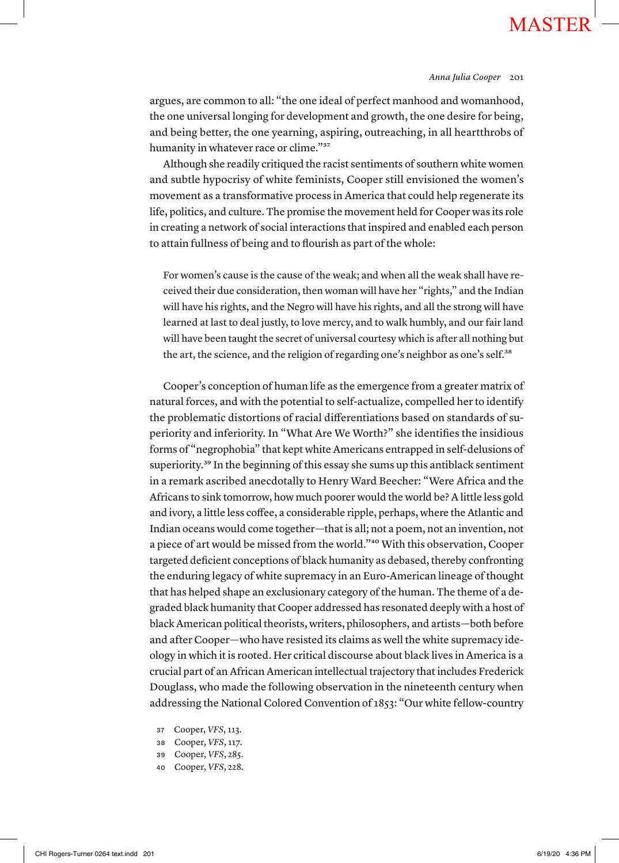### *Anna Julia Cooper* 201

argues, are common to all: "the one ideal of perfect manhood and womanhood, the one universal longing for development and growth, the one desire for being, and being better, the one yearning, aspiring, outreaching, in all heartthrobs of humanity in whatever race or clime."<sup>37</sup>

Although she readily critiqued the racist sentiments of southern white women and subtle hypocrisy of white feminists, Cooper still envisioned the women's movement as a transformative process in America that could help regenerate its life, politics, and culture. The promise the movement held for Cooper was its role in creating a network of social interactions that inspired and enabled each person to attain fullness of being and to flourish as part of the whole:

For women's cause is the cause of the weak; and when all the weak shall have received their due consideration, then woman will have her "rights," and the Indian will have his rights, and the Negro will have his rights, and all the strong will have learned at last to deal justly, to love mercy, and to walk humbly, and our fair land will have been taught the secret of universal courtesy which is after all nothing but the art, the science, and the religion of regarding one's neighbor as one's self.<sup>38</sup>

Cooper's conception of human life as the emergence from a greater matrix of natural forces, and with the potential to self-actualize, compelled her to identify the problematic distortions of racial differentiations based on standards of superiority and inferiority. In "What Are We Worth?" she identifies the insidious forms of "negrophobia" that kept white Americans entrapped in self-delusions of superiority.<sup>39</sup> In the beginning of this essay she sums up this antiblack sentiment in a remark ascribed anecdotally to Henry Ward Beecher: "Were Africa and the Africans to sink tomorrow, how much poorer would the world be? A little less gold and ivory, a little less coffee, a considerable ripple, perhaps, where the Atlantic and Indian oceans would come together—that is all; not a poem, not an invention, not a piece of art would be missed from the world."40 With this observation, Cooper targeted deficient conceptions of black humanity as debased, thereby confronting the enduring legacy of white supremacy in an Euro-American lineage of thought that has helped shape an exclusionary category of the human. The theme of a degraded black humanity that Cooper addressed has resonated deeply with a host of black American political theorists, writers, philosophers, and artists—both before and after Cooper—who have resisted its claims as well the white supremacy ideology in which it is rooted. Her critical discourse about black lives in America is a crucial part of an African American intellectual trajectory that includes Frederick Douglass, who made the following observation in the nineteenth century when addressing the National Colored Convention of 1853: "Our white fellow-country

- <sup>37</sup> Cooper, *VFS*, 113.
- <sup>38</sup> Cooper, *VFS*, 117.
- <sup>39</sup> Cooper, *VFS*, 285.
- <sup>40</sup> Cooper, *VFS*, 228.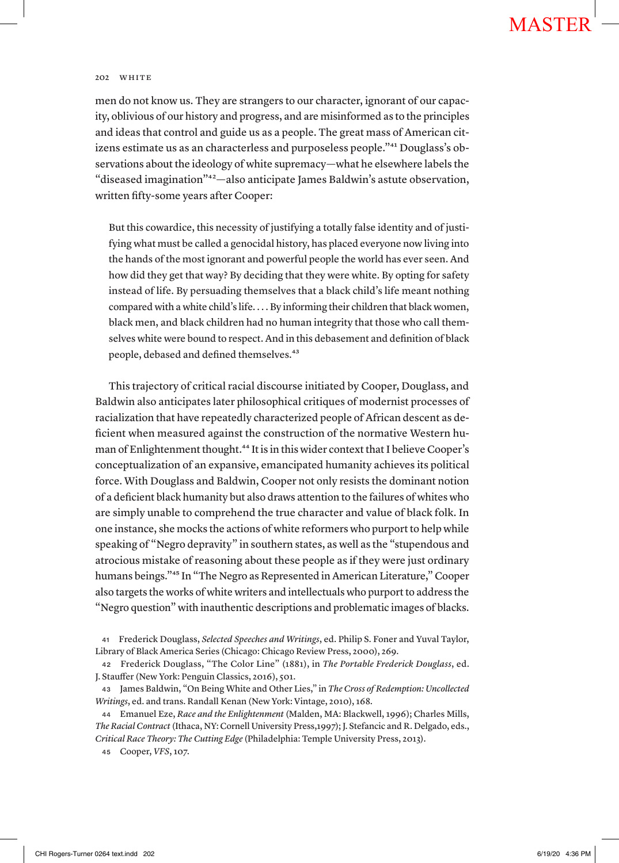men do not know us. They are strangers to our character, ignorant of our capacity, oblivious of our history and progress, and are misinformed as to the principles and ideas that control and guide us as a people. The great mass of American citizens estimate us as an characterless and purposeless people."41 Douglass's observations about the ideology of white supremacy—what he elsewhere labels the "diseased imagination"42—also anticipate James Baldwin's astute observation, written fifty-some years after Cooper:

But this cowardice, this necessity of justifying a totally false identity and of justifying what must be called a genocidal history, has placed everyone now living into the hands of the most ignorant and powerful people the world has ever seen. And how did they get that way? By deciding that they were white. By opting for safety instead of life. By persuading themselves that a black child's life meant nothing compared with a white child's life. . . . By informing their children that black women, black men, and black children had no human integrity that those who call themselves white were bound to respect. And in this debasement and definition of black people, debased and defined themselves.<sup>43</sup>

This trajectory of critical racial discourse initiated by Cooper, Douglass, and Baldwin also anticipates later philosophical critiques of modernist processes of racialization that have repeatedly characterized people of African descent as deficient when measured against the construction of the normative Western human of Enlightenment thought.<sup>44</sup> It is in this wider context that I believe Cooper's conceptualization of an expansive, emancipated humanity achieves its political force. With Douglass and Baldwin, Cooper not only resists the dominant notion of a deficient black humanity but also draws attention to the failures of whites who are simply unable to comprehend the true character and value of black folk. In one instance, she mocks the actions of white reformers who purport to help while speaking of "Negro depravity" in southern states, as well as the "stupendous and atrocious mistake of reasoning about these people as if they were just ordinary humans beings."45 In "The Negro as Represented in American Literature," Cooper also targets the works of white writers and intellectuals who purport to address the "Negro question" with inauthentic descriptions and problematic images of blacks.

<sup>44</sup> Emanuel Eze, *Race and the Enlightenment* (Malden, MA: Blackwell, 1996); Charles Mills, *The Racial Contract* (Ithaca, NY: Cornell University Press,1997); J. Stefancic and R. Delgado, eds., *Critical Race Theory: The Cutting Edge* (Philadelphia: Temple University Press, 2013).

<sup>45</sup> Cooper, *VFS*, 107.

<sup>41</sup> Frederick Douglass, *Selected Speeches and Writings*, ed. Philip S. Foner and Yuval Taylor, Library of Black America Series (Chicago: Chicago Review Press, 2000), 269.

<sup>42</sup> Frederick Douglass, "The Color Line" (1881), in *The Portable Frederick Douglass*, ed. J. Stauffer (New York: Penguin Classics, 2016), 501.

<sup>43</sup> James Baldwin, "On Being White and Other Lies," in *The Cross of Redemption: Uncollected Writings*, ed. and trans. Randall Kenan (New York: Vintage, 2010), 168.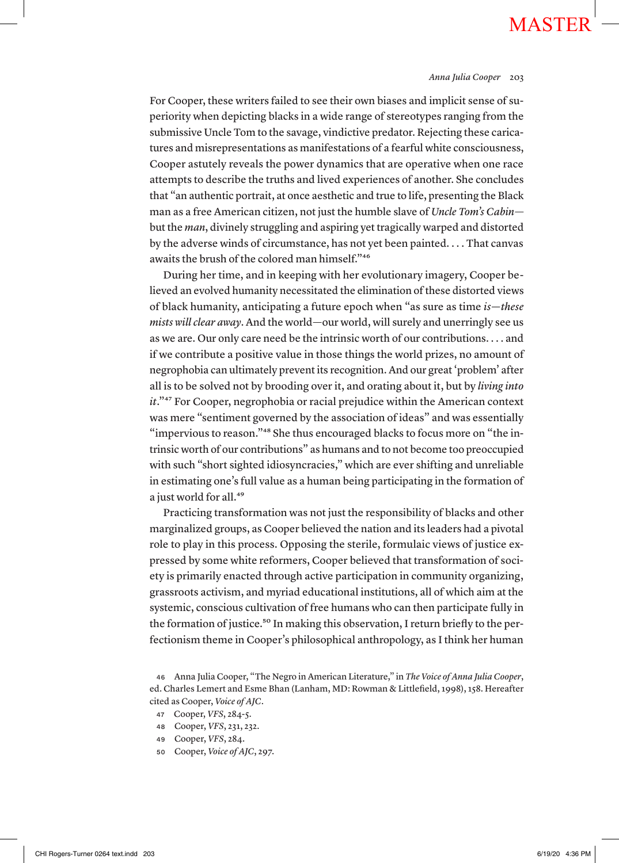### *Anna Julia Cooper* 203

For Cooper, these writers failed to see their own biases and implicit sense of superiority when depicting blacks in a wide range of stereotypes ranging from the submissive Uncle Tom to the savage, vindictive predator. Rejecting these caricatures and misrepresentations as manifestations of a fearful white consciousness, Cooper astutely reveals the power dynamics that are operative when one race attempts to describe the truths and lived experiences of another. She concludes that "an authentic portrait, at once aesthetic and true to life, presenting the Black man as a free American citizen, not just the humble slave of *Uncle Tom's Cabin* but the *man*, divinely struggling and aspiring yet tragically warped and distorted by the adverse winds of circumstance, has not yet been painted. . . . That canvas awaits the brush of the colored man himself."46

During her time, and in keeping with her evolutionary imagery, Cooper believed an evolved humanity necessitated the elimination of these distorted views of black humanity, anticipating a future epoch when "as sure as time *is—these mists will clear away*. And the world—our world, will surely and unerringly see us as we are. Our only care need be the intrinsic worth of our contributions. . . . and if we contribute a positive value in those things the world prizes, no amount of negrophobia can ultimately prevent its recognition. And our great 'problem' after all is to be solved not by brooding over it, and orating about it, but by *living into it*."47 For Cooper, negrophobia or racial prejudice within the American context was mere "sentiment governed by the association of ideas" and was essentially "impervious to reason."<sup>48</sup> She thus encouraged blacks to focus more on "the intrinsic worth of our contributions" as humans and to not become too preoccupied with such "short sighted idiosyncracies," which are ever shifting and unreliable in estimating one's full value as a human being participating in the formation of a just world for all.<sup>49</sup>

Practicing transformation was not just the responsibility of blacks and other marginalized groups, as Cooper believed the nation and its leaders had a pivotal role to play in this process. Opposing the sterile, formulaic views of justice expressed by some white reformers, Cooper believed that transformation of society is primarily enacted through active participation in community organizing, grassroots activism, and myriad educational institutions, all of which aim at the systemic, conscious cultivation of free humans who can then participate fully in the formation of justice.<sup>50</sup> In making this observation, I return briefly to the perfectionism theme in Cooper's philosophical anthropology, as I think her human

- <sup>47</sup> Cooper, *VFS*, 284-5.
- <sup>48</sup> Cooper, *VFS*, 231, 232.
- <sup>49</sup> Cooper, *VFS*, 284.
- <sup>50</sup> Cooper, *Voice of AJC*, 297.

<sup>46</sup> Anna Julia Cooper, "The Negro in American Literature," in *The Voice of Anna Julia Cooper*, ed. Charles Lemert and Esme Bhan (Lanham, MD: Rowman & Littlefield, 1998), 158. Hereafter cited as Cooper, *Voice of AJC*.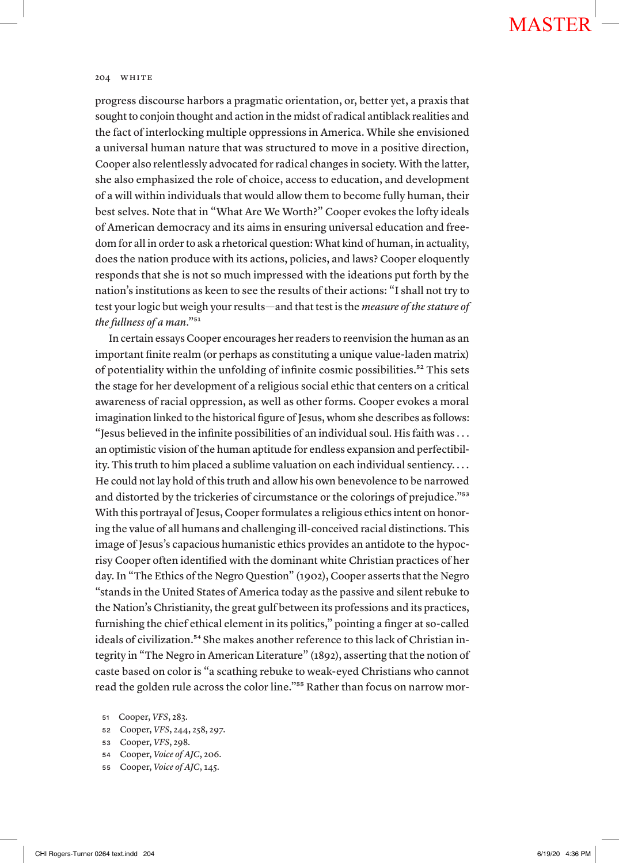progress discourse harbors a pragmatic orientation, or, better yet, a praxis that sought to conjoin thought and action in the midst of radical antiblack realities and the fact of interlocking multiple oppressions in America. While she envisioned a universal human nature that was structured to move in a positive direction, Cooper also relentlessly advocated for radical changes in society. With the latter, she also emphasized the role of choice, access to education, and development of a will within individuals that would allow them to become fully human, their best selves. Note that in "What Are We Worth?" Cooper evokes the lofty ideals of American democracy and its aims in ensuring universal education and freedom for all in order to ask a rhetorical question: What kind of human, in actuality, does the nation produce with its actions, policies, and laws? Cooper eloquently responds that she is not so much impressed with the ideations put forth by the nation's institutions as keen to see the results of their actions: "I shall not try to test your logic but weigh your results—and that test is the *measure of the stature of the fullness of a man*."51

In certain essays Cooper encourages her readers to reenvision the human as an important finite realm (or perhaps as constituting a unique value-laden matrix) of potentiality within the unfolding of infinite cosmic possibilities.<sup>52</sup> This sets the stage for her development of a religious social ethic that centers on a critical awareness of racial oppression, as well as other forms. Cooper evokes a moral imagination linked to the historical figure of Jesus, whom she describes as follows: "Jesus believed in the infinite possibilities of an individual soul. His faith was . . . an optimistic vision of the human aptitude for endless expansion and perfectibility. This truth to him placed a sublime valuation on each individual sentiency. . . . He could not lay hold of this truth and allow his own benevolence to be narrowed and distorted by the trickeries of circumstance or the colorings of prejudice."53 With this portrayal of Jesus, Cooper formulates a religious ethics intent on honoring the value of all humans and challenging ill-conceived racial distinctions. This image of Jesus's capacious humanistic ethics provides an antidote to the hypocrisy Cooper often identified with the dominant white Christian practices of her day. In "The Ethics of the Negro Question" (1902), Cooper asserts that the Negro "stands in the United States of America today as the passive and silent rebuke to the Nation's Christianity, the great gulf between its professions and its practices, furnishing the chief ethical element in its politics," pointing a finger at so-called ideals of civilization.<sup>54</sup> She makes another reference to this lack of Christian integrity in "The Negro in American Literature" (1892), asserting that the notion of caste based on color is "a scathing rebuke to weak-eyed Christians who cannot read the golden rule across the color line."55 Rather than focus on narrow mor-

- <sup>52</sup> Cooper, *VFS*, 244, 258, 297.
- <sup>53</sup> Cooper, *VFS*, 298.
- <sup>54</sup> Cooper, *Voice of AJC*, 206.
- <sup>55</sup> Cooper, *Voice of AJC*, 145.

<sup>51</sup> Cooper, *VFS*, 283.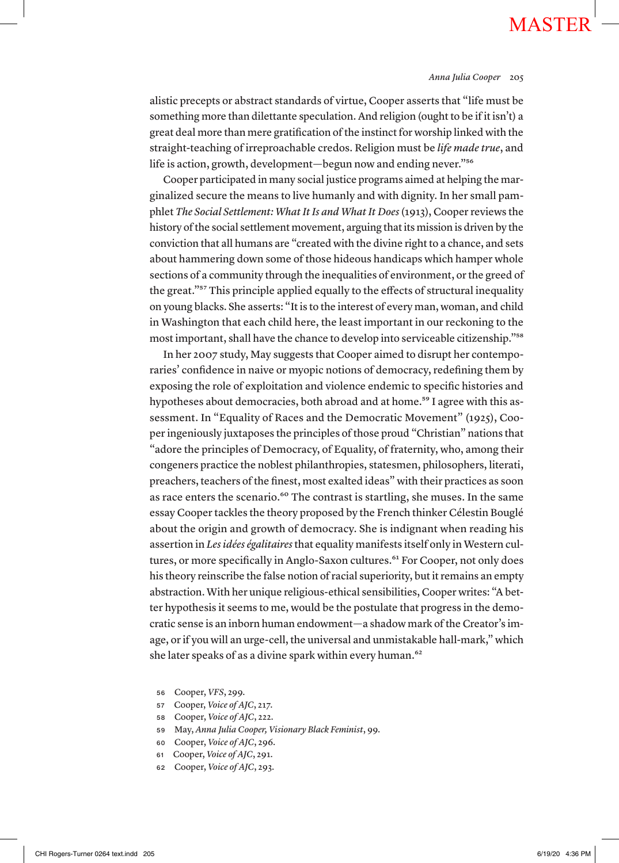alistic precepts or abstract standards of virtue, Cooper asserts that "life must be something more than dilettante speculation. And religion (ought to be if it isn't) a great deal more than mere gratification of the instinct for worship linked with the straight-teaching of irreproachable credos. Religion must be *life made true*, and life is action, growth, development—begun now and ending never."<sup>56</sup>

Cooper participated in many social justice programs aimed at helping the marginalized secure the means to live humanly and with dignity. In her small pamphlet *The Social Settlement: What It Is and What It Does* (1913), Cooper reviews the history of the social settlement movement, arguing that its mission is driven by the conviction that all humans are "created with the divine right to a chance, and sets about hammering down some of those hideous handicaps which hamper whole sections of a community through the inequalities of environment, or the greed of the great."57 This principle applied equally to the effects of structural inequality on young blacks. She asserts: "It is to the interest of every man, woman, and child in Washington that each child here, the least important in our reckoning to the most important, shall have the chance to develop into serviceable citizenship."58

In her 2007 study, May suggests that Cooper aimed to disrupt her contemporaries' confidence in naive or myopic notions of democracy, redefining them by exposing the role of exploitation and violence endemic to specific histories and hypotheses about democracies, both abroad and at home.<sup>59</sup> I agree with this assessment. In "Equality of Races and the Democratic Movement" (1925), Cooper ingeniously juxtaposes the principles of those proud "Christian" nations that "adore the principles of Democracy, of Equality, of fraternity, who, among their congeners practice the noblest philanthropies, statesmen, philosophers, literati, preachers, teachers of the finest, most exalted ideas" with their practices as soon as race enters the scenario.<sup>60</sup> The contrast is startling, she muses. In the same essay Cooper tackles the theory proposed by the French thinker Célestin Bouglé about the origin and growth of democracy. She is indignant when reading his assertion in *Les idées égalitaires* that equality manifests itself only in Western cultures, or more specifically in Anglo-Saxon cultures.<sup>61</sup> For Cooper, not only does his theory reinscribe the false notion of racial superiority, but it remains an empty abstraction. With her unique religious-ethical sensibilities, Cooper writes: "A better hypothesis it seems to me, would be the postulate that progress in the democratic sense is an inborn human endowment—a shadow mark of the Creator's image, or if you will an urge-cell, the universal and unmistakable hall-mark," which she later speaks of as a divine spark within every human.<sup>62</sup>

- <sup>56</sup> Cooper, *VFS*, 299.
- <sup>57</sup> Cooper, *Voice of AJC*, 217.
- <sup>58</sup> Cooper, *Voice of AJC*, 222.
- <sup>59</sup> May, *Anna Julia Cooper, Visionary Black Feminist*, 99.
- <sup>60</sup> Cooper, *Voice of AJC*, 296.
- <sup>61</sup> Cooper, *Voice of AJC*, 291.
- <sup>62</sup> Cooper, *Voice of AJC*, 293.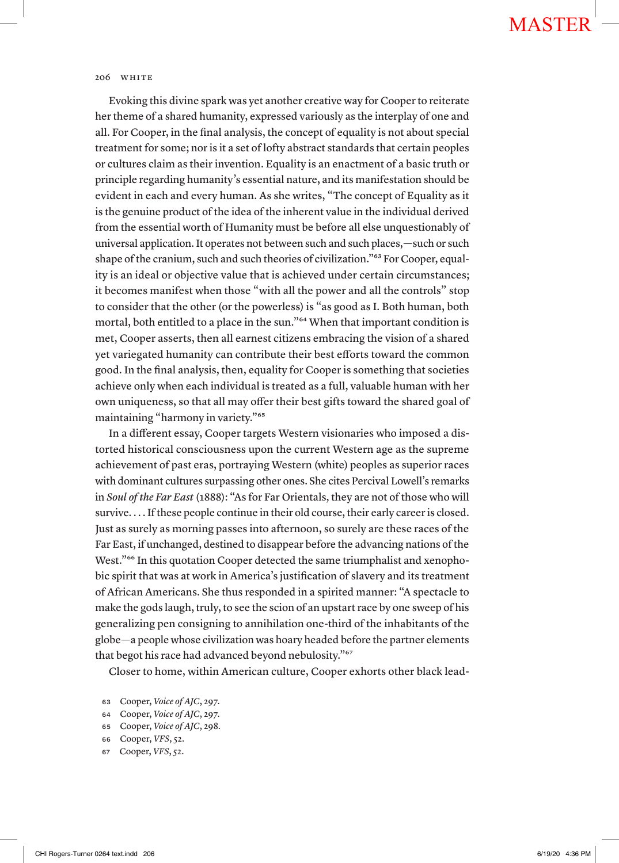Evoking this divine spark was yet another creative way for Cooper to reiterate her theme of a shared humanity, expressed variously as the interplay of one and all. For Cooper, in the final analysis, the concept of equality is not about special treatment for some; nor is it a set of lofty abstract standards that certain peoples or cultures claim as their invention. Equality is an enactment of a basic truth or principle regarding humanity's essential nature, and its manifestation should be evident in each and every human. As she writes, "The concept of Equality as it is the genuine product of the idea of the inherent value in the individual derived from the essential worth of Humanity must be before all else unquestionably of universal application. It operates not between such and such places,—such or such shape of the cranium, such and such theories of civilization."63 For Cooper, equality is an ideal or objective value that is achieved under certain circumstances; it becomes manifest when those "with all the power and all the controls" stop to consider that the other (or the powerless) is "as good as I. Both human, both mortal, both entitled to a place in the sun."64 When that important condition is met, Cooper asserts, then all earnest citizens embracing the vision of a shared yet variegated humanity can contribute their best efforts toward the common good. In the final analysis, then, equality for Cooper is something that societies achieve only when each individual is treated as a full, valuable human with her own uniqueness, so that all may offer their best gifts toward the shared goal of maintaining "harmony in variety."65

In a different essay, Cooper targets Western visionaries who imposed a distorted historical consciousness upon the current Western age as the supreme achievement of past eras, portraying Western (white) peoples as superior races with dominant cultures surpassing other ones. She cites Percival Lowell's remarks in *Soul of the Far East* (1888): "As for Far Orientals, they are not of those who will survive. . . . If these people continue in their old course, their early career is closed. Just as surely as morning passes into afternoon, so surely are these races of the Far East, if unchanged, destined to disappear before the advancing nations of the West."<sup>66</sup> In this quotation Cooper detected the same triumphalist and xenophobic spirit that was at work in America's justification of slavery and its treatment of African Americans. She thus responded in a spirited manner: "A spectacle to make the gods laugh, truly, to see the scion of an upstart race by one sweep of his generalizing pen consigning to annihilation one-third of the inhabitants of the globe—a people whose civilization was hoary headed before the partner elements that begot his race had advanced beyond nebulosity."<sup>67</sup>

Closer to home, within American culture, Cooper exhorts other black lead-

- <sup>64</sup> Cooper, *Voice of AJC*, 297.
- <sup>65</sup> Cooper, *Voice of AJC*, 298.
- <sup>66</sup> Cooper, *VFS*, 52.
- <sup>67</sup> Cooper, *VFS*, 52.

<sup>63</sup> Cooper, *Voice of AJC*, 297.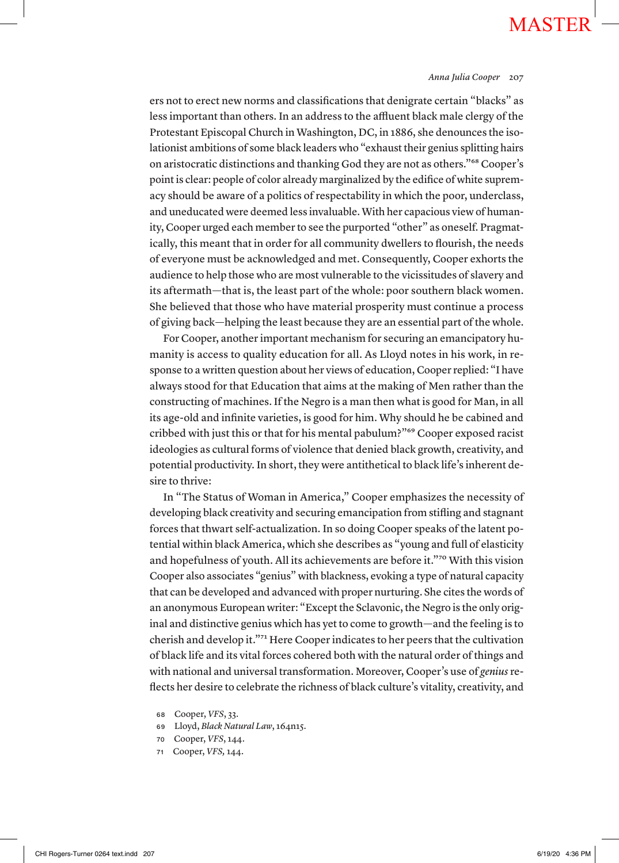#### *Anna Julia Cooper* 207

ers not to erect new norms and classifications that denigrate certain "blacks" as less important than others. In an address to the affluent black male clergy of the Protestant Episcopal Church in Washington, DC, in 1886, she denounces the isolationist ambitions of some black leaders who "exhaust their genius splitting hairs on aristocratic distinctions and thanking God they are not as others."68 Cooper's point is clear: people of color already marginalized by the edifice of white supremacy should be aware of a politics of respectability in which the poor, underclass, and uneducated were deemed less invaluable. With her capacious view of humanity, Cooper urged each member to see the purported "other" as oneself. Pragmatically, this meant that in order for all community dwellers to flourish, the needs of everyone must be acknowledged and met. Consequently, Cooper exhorts the audience to help those who are most vulnerable to the vicissitudes of slavery and its aftermath—that is, the least part of the whole: poor southern black women. She believed that those who have material prosperity must continue a process of giving back—helping the least because they are an essential part of the whole.

For Cooper, another important mechanism for securing an emancipatory humanity is access to quality education for all. As Lloyd notes in his work, in response to a written question about her views of education, Cooper replied: "I have always stood for that Education that aims at the making of Men rather than the constructing of machines. If the Negro is a man then what is good for Man, in all its age-old and infinite varieties, is good for him. Why should he be cabined and cribbed with just this or that for his mental pabulum?"69 Cooper exposed racist ideologies as cultural forms of violence that denied black growth, creativity, and potential productivity. In short, they were antithetical to black life's inherent desire to thrive:

In "The Status of Woman in America," Cooper emphasizes the necessity of developing black creativity and securing emancipation from stifling and stagnant forces that thwart self-actualization. In so doing Cooper speaks of the latent potential within black America, which she describes as "young and full of elasticity and hopefulness of youth. All its achievements are before it."70 With this vision Cooper also associates "genius" with blackness, evoking a type of natural capacity that can be developed and advanced with proper nurturing. She cites the words of an anonymous European writer: "Except the Sclavonic, the Negro is the only original and distinctive genius which has yet to come to growth—and the feeling is to cherish and develop it."71 Here Cooper indicates to her peers that the cultivation of black life and its vital forces cohered both with the natural order of things and with national and universal transformation. Moreover, Cooper's use of *genius* reflects her desire to celebrate the richness of black culture's vitality, creativity, and

- <sup>68</sup> Cooper, *VFS*, 33.
- <sup>69</sup> Lloyd, *Black Natural Law*, 164n15.
- <sup>70</sup> Cooper, *VFS*, 144.
- <sup>71</sup> Cooper, *VFS,* 144.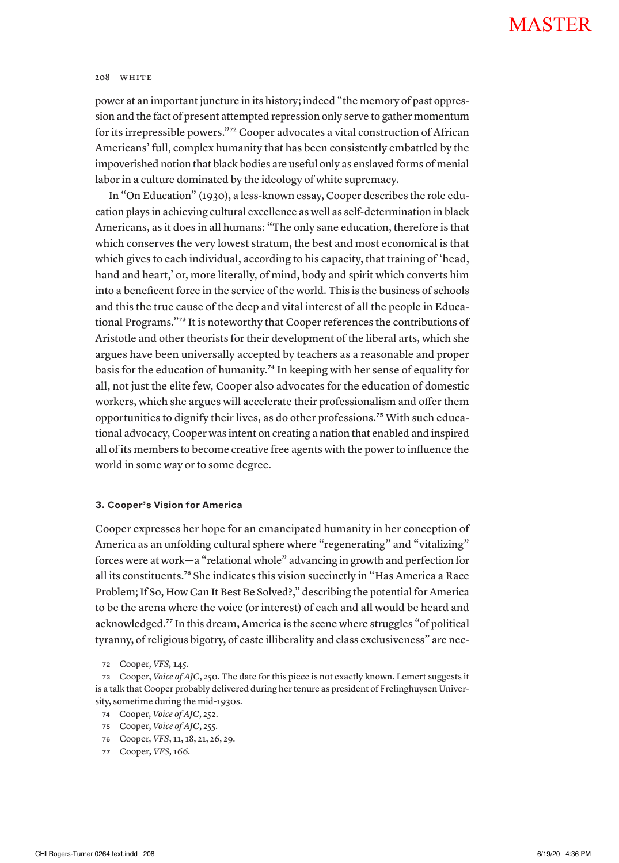### 208 WHITE

power at an important juncture in its history; indeed "the memory of past oppression and the fact of present attempted repression only serve to gather momentum for its irrepressible powers."72 Cooper advocates a vital construction of African Americans' full, complex humanity that has been consistently embattled by the impoverished notion that black bodies are useful only as enslaved forms of menial labor in a culture dominated by the ideology of white supremacy.

In "On Education" (1930), a less-known essay, Cooper describes the role education plays in achieving cultural excellence as well as self-determination in black Americans, as it does in all humans: "The only sane education, therefore is that which conserves the very lowest stratum, the best and most economical is that which gives to each individual, according to his capacity, that training of 'head, hand and heart,' or, more literally, of mind, body and spirit which converts him into a beneficent force in the service of the world. This is the business of schools and this the true cause of the deep and vital interest of all the people in Educational Programs."73 It is noteworthy that Cooper references the contributions of Aristotle and other theorists for their development of the liberal arts, which she argues have been universally accepted by teachers as a reasonable and proper basis for the education of humanity.74 In keeping with her sense of equality for all, not just the elite few, Cooper also advocates for the education of domestic workers, which she argues will accelerate their professionalism and offer them opportunities to dignify their lives, as do other professions.75 With such educational advocacy, Cooper was intent on creating a nation that enabled and inspired all of its members to become creative free agents with the power to influence the world in some way or to some degree.

### **3. Cooper's Vision for America**

Cooper expresses her hope for an emancipated humanity in her conception of America as an unfolding cultural sphere where "regenerating" and "vitalizing" forces were at work—a "relational whole" advancing in growth and perfection for all its constituents.76 She indicates this vision succinctly in "Has America a Race Problem; If So, How Can It Best Be Solved?," describing the potential for America to be the arena where the voice (or interest) of each and all would be heard and acknowledged.77 In this dream, America is the scene where struggles "of political tyranny, of religious bigotry, of caste illiberality and class exclusiveness" are nec-

- <sup>74</sup> Cooper, *Voice of AJC*, 252.
- <sup>75</sup> Cooper, *Voice of AJC*, 255.
- <sup>76</sup> Cooper, *VFS*, 11, 18, 21, 26, 29.
- <sup>77</sup> Cooper, *VFS*, 166.

<sup>72</sup> Cooper, *VFS,* 145.

<sup>73</sup> Cooper, *Voice of AJC*, 250. The date for this piece is not exactly known. Lemert suggests it is a talk that Cooper probably delivered during her tenure as president of Frelinghuysen University, sometime during the mid-1930s.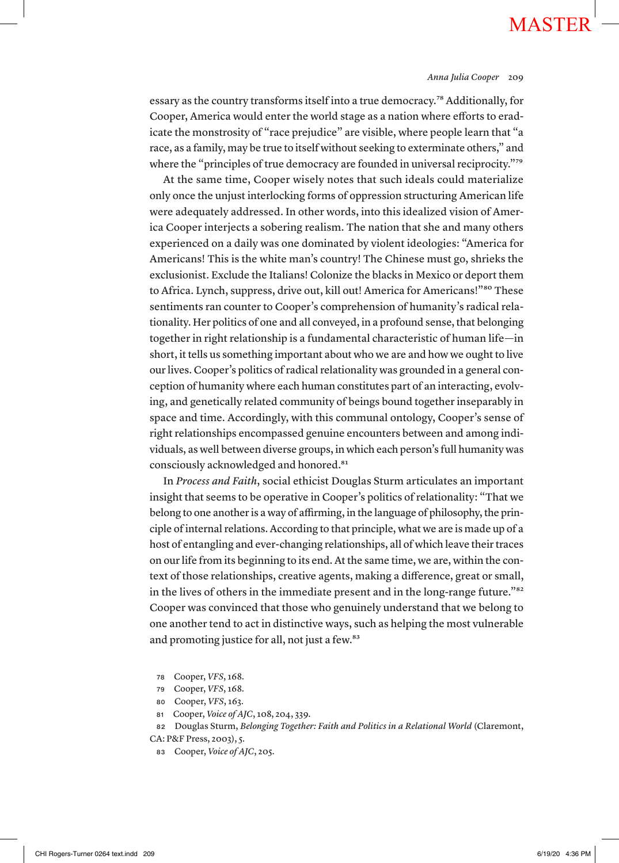#### *Anna Julia Cooper* 209

essary as the country transforms itself into a true democracy.78 Additionally, for Cooper, America would enter the world stage as a nation where efforts to eradicate the monstrosity of "race prejudice" are visible, where people learn that "a race, as a family, may be true to itself without seeking to exterminate others," and where the "principles of true democracy are founded in universal reciprocity."<sup>79</sup>

At the same time, Cooper wisely notes that such ideals could materialize only once the unjust interlocking forms of oppression structuring American life were adequately addressed. In other words, into this idealized vision of America Cooper interjects a sobering realism. The nation that she and many others experienced on a daily was one dominated by violent ideologies: "America for Americans! This is the white man's country! The Chinese must go, shrieks the exclusionist. Exclude the Italians! Colonize the blacks in Mexico or deport them to Africa. Lynch, suppress, drive out, kill out! America for Americans!"<sup>80</sup> These sentiments ran counter to Cooper's comprehension of humanity's radical relationality. Her politics of one and all conveyed, in a profound sense, that belonging together in right relationship is a fundamental characteristic of human life—in short, it tells us something important about who we are and how we ought to live our lives. Cooper's politics of radical relationality was grounded in a general conception of humanity where each human constitutes part of an interacting, evolving, and genetically related community of beings bound together inseparably in space and time. Accordingly, with this communal ontology, Cooper's sense of right relationships encompassed genuine encounters between and among individuals, as well between diverse groups, in which each person's full humanity was consciously acknowledged and honored.<sup>81</sup>

In *Process and Faith*, social ethicist Douglas Sturm articulates an important insight that seems to be operative in Cooper's politics of relationality: "That we belong to one another is a way of affirming, in the language of philosophy, the principle of internal relations. According to that principle, what we are is made up of a host of entangling and ever-changing relationships, all of which leave their traces on our life from its beginning to its end. At the same time, we are, within the context of those relationships, creative agents, making a difference, great or small, in the lives of others in the immediate present and in the long-range future."82 Cooper was convinced that those who genuinely understand that we belong to one another tend to act in distinctive ways, such as helping the most vulnerable and promoting justice for all, not just a few.<sup>83</sup>

- <sup>78</sup> Cooper, *VFS*, 168.
- <sup>79</sup> Cooper, *VFS*, 168.
- <sup>80</sup> Cooper, *VFS*, 163.
- <sup>81</sup> Cooper, *Voice of AJC*, 108, 204, 339.

<sup>82</sup> Douglas Sturm, *Belonging Together: Faith and Politics in a Relational World* (Claremont,

CA: P&F Press, 2003), 5.

<sup>83</sup> Cooper, *Voice of AJC*, 205.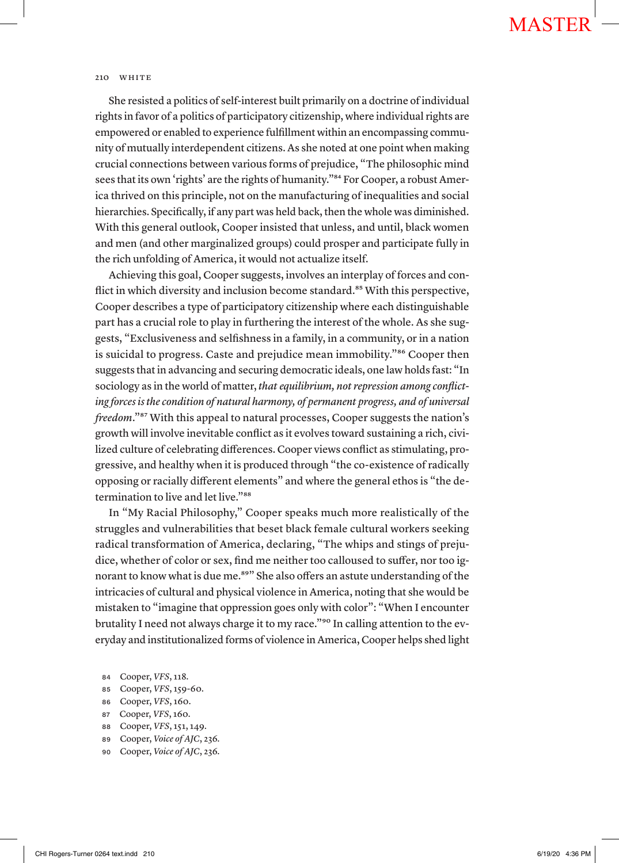She resisted a politics of self-interest built primarily on a doctrine of individual rights in favor of a politics of participatory citizenship, where individual rights are empowered or enabled to experience fulfillment within an encompassing community of mutually interdependent citizens. As she noted at one point when making crucial connections between various forms of prejudice, "The philosophic mind sees that its own 'rights' are the rights of humanity."<sup>84</sup> For Cooper, a robust America thrived on this principle, not on the manufacturing of inequalities and social hierarchies. Specifically, if any part was held back, then the whole was diminished. With this general outlook, Cooper insisted that unless, and until, black women and men (and other marginalized groups) could prosper and participate fully in the rich unfolding of America, it would not actualize itself.

Achieving this goal, Cooper suggests, involves an interplay of forces and conflict in which diversity and inclusion become standard.<sup>85</sup> With this perspective, Cooper describes a type of participatory citizenship where each distinguishable part has a crucial role to play in furthering the interest of the whole. As she suggests, "Exclusiveness and selfishness in a family, in a community, or in a nation is suicidal to progress. Caste and prejudice mean immobility."<sup>86</sup> Cooper then suggests that in advancing and securing democratic ideals, one law holds fast: "In sociology as in the world of matter, *that equilibrium, not repression among conflicting forces is the condition of natural harmony, of permanent progress, and of universal freedom*."<sup>87</sup> With this appeal to natural processes, Cooper suggests the nation's growth will involve inevitable conflict as it evolves toward sustaining a rich, civilized culture of celebrating differences. Cooper views conflict as stimulating, progressive, and healthy when it is produced through "the co-existence of radically opposing or racially different elements" and where the general ethos is "the determination to live and let live."<sup>88</sup>

In "My Racial Philosophy," Cooper speaks much more realistically of the struggles and vulnerabilities that beset black female cultural workers seeking radical transformation of America, declaring, "The whips and stings of prejudice, whether of color or sex, find me neither too calloused to suffer, nor too ignorant to know what is due me.<sup>89"</sup> She also offers an astute understanding of the intricacies of cultural and physical violence in America, noting that she would be mistaken to "imagine that oppression goes only with color": "When I encounter brutality I need not always charge it to my race."<sup>90</sup> In calling attention to the everyday and institutionalized forms of violence in America, Cooper helps shed light

- <sup>85</sup> Cooper, *VFS*, 159-60.
- <sup>86</sup> Cooper, *VFS*, 160.
- <sup>87</sup> Cooper, *VFS*, 160.
- <sup>88</sup> Cooper, *VFS*, 151, 149.
- <sup>89</sup> Cooper, *Voice of AJC*, 236.
- <sup>90</sup> Cooper, *Voice of AJC*, 236.

<sup>84</sup> Cooper, *VFS*, 118.